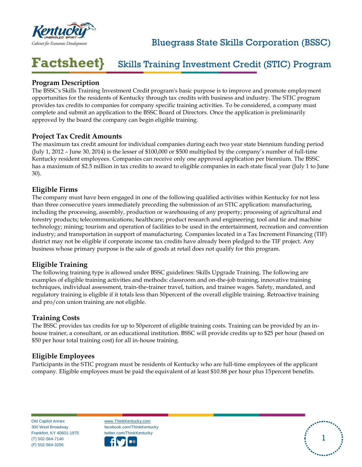

## Bluegrass State Skills Corporation (BSSC)

#### **Factsheet}** Skills Training Investment Credit (STIC) Program

## **Program Description**

The BSSC's Skills Training Investment Credit program's basic purpose is to improve and promote employment opportunities for the residents of Kentucky through tax credits with business and industry. The STIC program provides tax credits to companies for company specific training activities. To be considered, a company must complete and submit an application to the BSSC Board of Directors. Once the application is preliminarily approved by the board the company can begin eligible training.

### **Project Tax Credit Amounts**

The maximum tax credit amount for individual companies during each two year state biennium funding period (July 1, 2012 – June 30, 2014) is the lesser of \$100,000 or \$500 multiplied by the company's number of full-time Kentucky resident employees. Companies can receive only one approved application per biennium. The BSSC has a maximum of \$2.5 million in tax credits to award to eligible companies in each state fiscal year (July 1 to June 30).

### **Eligible Firms**

The company must have been engaged in one of the following qualified activities within Kentucky for not less than three consecutive years immediately preceding the submission of an STIC application: manufacturing, including the processing, assembly, production or warehousing of any property; processing of agricultural and forestry products; telecommunications; healthcare; product research and engineering; tool and tie and machine technology; mining; tourism and operation of facilities to be used in the entertainment, recreation and convention industry; and transportation in support of manufacturing. Companies located in a Tax Increment Financing (TIF) district may not be eligible if corporate income tax credits have already been pledged to the TIF project. Any business whose primary purpose is the sale of goods at retail does not qualify for this program.

## **Eligible Training**

The following training type is allowed under BSSC guidelines: Skills Upgrade Training. The following are examples of eligible training activities and methods: classroom and on-the-job training, innovative training techniques, individual assessment, train-the-trainer travel, tuition, and trainee wages. Safety, mandated, and regulatory training is eligible if it totals less than 50percent of the overall eligible training. Retroactive training and pro/con union training are not eligible.

#### **Training Costs**

The BSSC provides tax credits for up to 50percent of eligible training costs. Training can be provided by an inhouse trainer, a consultant, or an educational institution. BSSC will provide credits up to \$25 per hour (based on \$50 per hour total training cost) for all in-house training.

#### **Eligible Employees**

Participants in the STIC program must be residents of Kentucky who are full-time employees of the applicant company. Eligible employees must be paid the equivalent of at least \$10.88 per hour plus 15percent benefits.

Old Capitol Annex 300 West Broadway Frankfort, KY 40601-1975 (T) 502-564-7140 (F) 502-564-3256

[www.ThinkKentucky.com](http://www.thinkkentucky.com/) facebook.com/ThinkKentucky twitter.com/ThinkKentucky